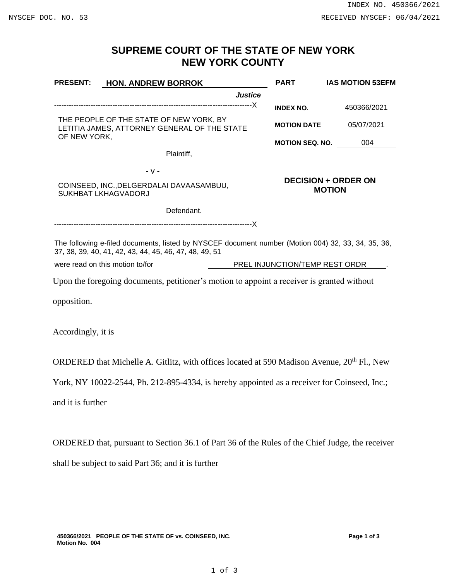## **SUPREME COURT OF THE STATE OF NEW YORK NEW YORK COUNTY**

| <b>PRESENT:</b>                                                                                                                                              | <b>HON. ANDREW BORROK</b>                                                                  |                | <b>PART</b>                                 | <b>IAS MOTION 53EFM</b> |
|--------------------------------------------------------------------------------------------------------------------------------------------------------------|--------------------------------------------------------------------------------------------|----------------|---------------------------------------------|-------------------------|
|                                                                                                                                                              |                                                                                            | <b>Justice</b> |                                             |                         |
|                                                                                                                                                              |                                                                                            |                | <b>INDEX NO.</b>                            | 450366/2021             |
| THE PEOPLE OF THE STATE OF NEW YORK, BY<br>LETITIA JAMES, ATTORNEY GENERAL OF THE STATE<br>OF NEW YORK,                                                      |                                                                                            |                | <b>MOTION DATE</b>                          | 05/07/2021              |
|                                                                                                                                                              |                                                                                            |                | <b>MOTION SEQ. NO.</b>                      | 004                     |
|                                                                                                                                                              | Plaintiff,                                                                                 |                |                                             |                         |
|                                                                                                                                                              | $-V -$                                                                                     |                |                                             |                         |
| COINSEED, INC., DELGERDALAI DAVAASAMBUU,<br><b>SUKHBAT LKHAGVADORJ</b>                                                                                       |                                                                                            |                | <b>DECISION + ORDER ON</b><br><b>MOTION</b> |                         |
|                                                                                                                                                              | Defendant.                                                                                 |                |                                             |                         |
|                                                                                                                                                              |                                                                                            |                |                                             |                         |
| The following e-filed documents, listed by NYSCEF document number (Motion 004) 32, 33, 34, 35, 36,<br>37, 38, 39, 40, 41, 42, 43, 44, 45, 46, 47, 48, 49, 51 |                                                                                            |                |                                             |                         |
| were read on this motion to/for                                                                                                                              |                                                                                            |                | PREL INJUNCTION/TEMP REST ORDR              |                         |
|                                                                                                                                                              | Upon the foregoing documents, petitioner's motion to appoint a receiver is granted without |                |                                             |                         |
| opposition.                                                                                                                                                  |                                                                                            |                |                                             |                         |
| Accordingly, it is                                                                                                                                           |                                                                                            |                |                                             |                         |

ORDERED that Michelle A. Gitlitz, with offices located at 590 Madison Avenue, 20<sup>th</sup> Fl., New

York, NY 10022-2544, Ph. 212-895-4334, is hereby appointed as a receiver for Coinseed, Inc.;

and it is further

ORDERED that, pursuant to Section 36.1 of Part 36 of the Rules of the Chief Judge, the receiver shall be subject to said Part 36; and it is further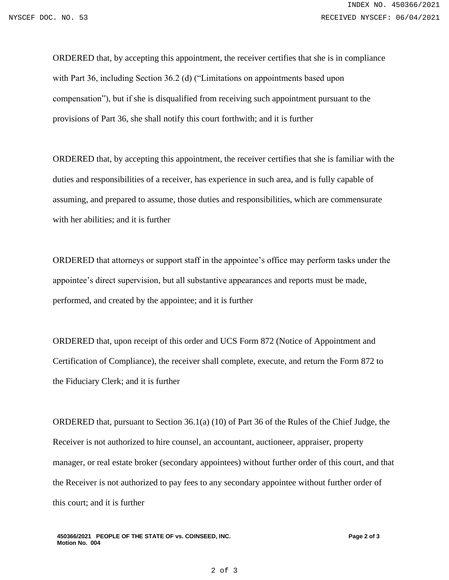ORDERED that, by accepting this appointment, the receiver certifies that she is in compliance with Part 36, including Section 36.2 (d) ("Limitations on appointments based upon compensation"), but if she is disqualified from receiving such appointment pursuant to the provisions of Part 36, she shall notify this court forthwith; and it is further

ORDERED that, by accepting this appointment, the receiver certifies that she is familiar with the duties and responsibilities of a receiver, has experience in such area, and is fully capable of assuming, and prepared to assume, those duties and responsibilities, which are commensurate with her abilities; and it is further

ORDERED that attorneys or support staff in the appointee's office may perform tasks under the appointee's direct supervision, but all substantive appearances and reports must be made, performed, and created by the appointee; and it is further

ORDERED that, upon receipt of this order and UCS Form 872 (Notice of Appointment and Certification of Compliance), the receiver shall complete, execute, and return the Form 872 to the Fiduciary Clerk; and it is further

ORDERED that, pursuant to Section 36.1(a) (10) of Part 36 of the Rules of the Chief Judge, the Receiver is not authorized to hire counsel, an accountant, auctioneer, appraiser, property manager, or real estate broker (secondary appointees) without further order of this court, and that the Receiver is not authorized to pay fees to any secondary appointee without further order of this court; and it is further